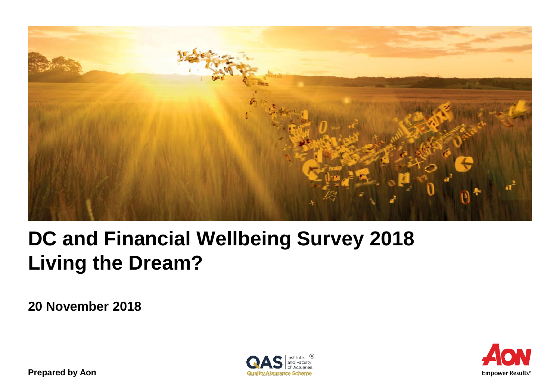

# **DC and Financial Wellbeing Survey 2018 Living the Dream?**

**20 November 2018**





**Prepared by Aon**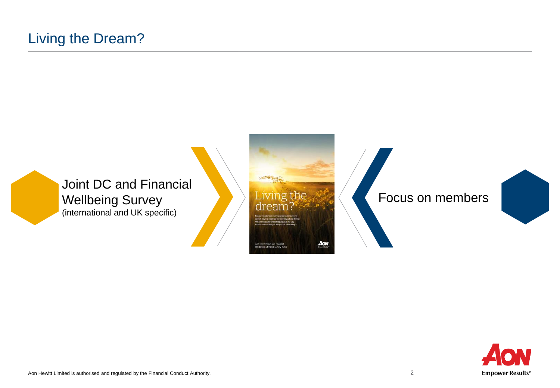

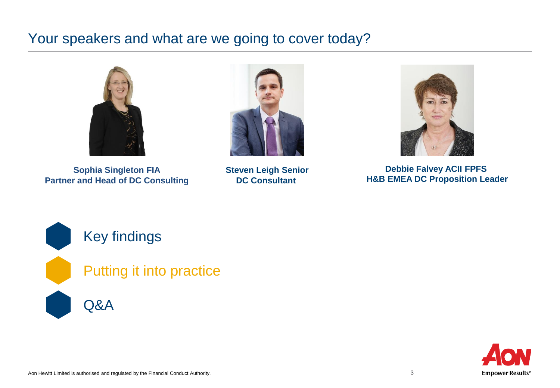# Your speakers and what are we going to cover today?



**Sophia Singleton FIA Partner and Head of DC Consulting**



**Steven Leigh Senior DC Consultant** 



**Debbie Falvey ACII FPFS H&B EMEA DC Proposition Leader**



### Key findings

Putting it into practice

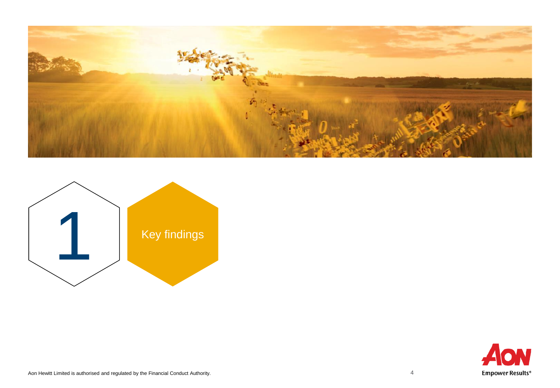



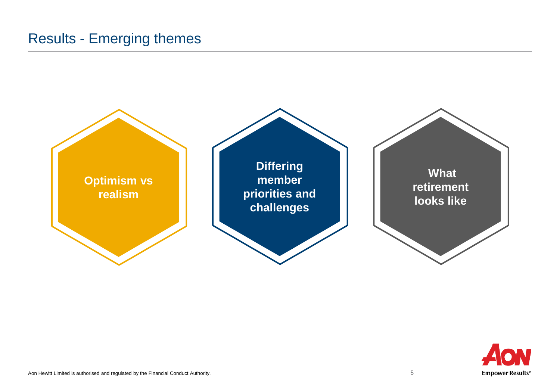### Results - Emerging themes



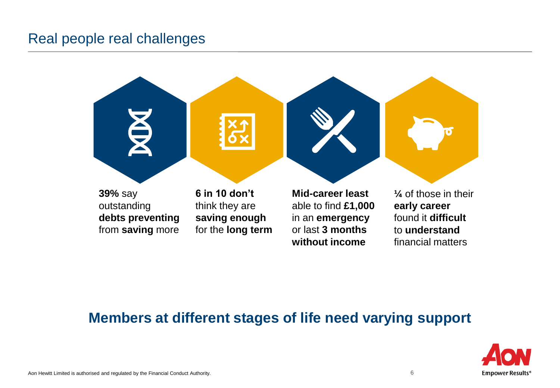### Real people real challenges



### **Members at different stages of life need varying support**

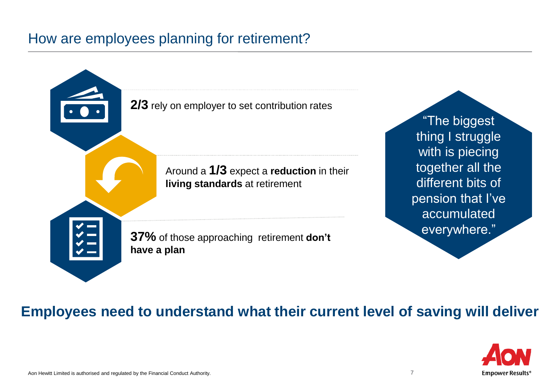### How are employees planning for retirement?



"The biggest thing I struggle with is piecing together all the different bits of pension that I've accumulated everywhere."

### **Employees need to understand what their current level of saving will deliver**

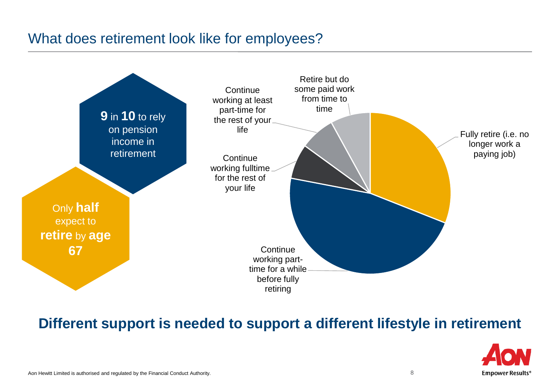### What does retirement look like for employees?



### **Different support is needed to support a different lifestyle in retirement**

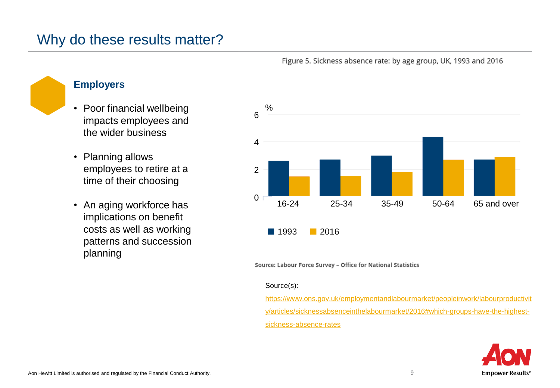### Why do these results matter?



#### Figure 5. Sickness absence rate: by age group, UK, 1993 and 2016

### **Employers**

- Poor financial wellbeing impacts employees and the wider business
- Planning allows employees to retire at a time of their choosing
- An aging workforce has implications on benefit costs as well as working patterns and succession planning

Source: Labour Force Survey - Office for National Statistics

#### Source(s):

https://www.ons.gov.uk/employmentandlabourmarket/peopleinwork/labourproductivit [y/articles/sicknessabsenceinthelabourmarket/2016#which-groups-have-the-highest](https://www.ons.gov.uk/employmentandlabourmarket/peopleinwork/labourproductivity/articles/sicknessabsenceinthelabourmarket/2016#which-groups-have-the-highest-sickness-absence-rates)sickness-absence-rates

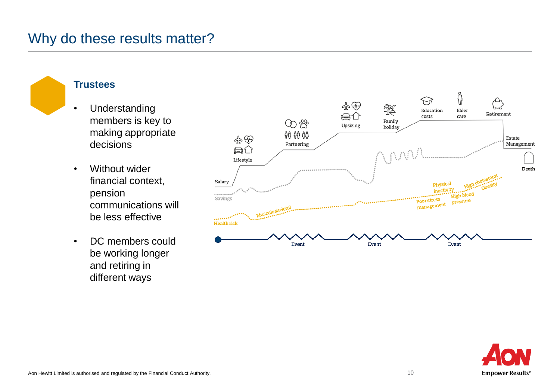### Why do these results matter?



### **Trustees**

- Understanding members is key to making appropriate decisions
- Without wider financial context, pension communications will be less effective
- DC members could be working longer and retiring in different ways



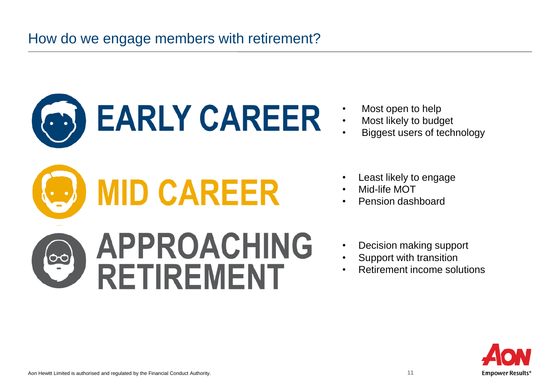

- Most open to help<br>• Most likely to bude
- Most likely to budget
- Biggest users of technology
- Least likely to engage
- Mid-life MOT
- Pension dashboard
- Decision making support
- Support with transition
- Retirement income solutions

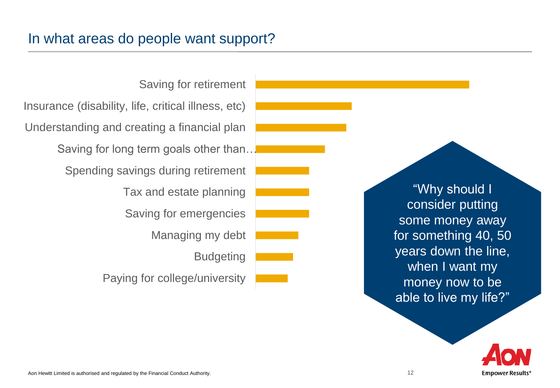Paying for college/university Budgeting Managing my debt Saving for emergencies Tax and estate planning Spending savings during retirement Saving for long term goals other than… Understanding and creating a financial plan Insurance (disability, life, critical illness, etc) Saving for retirement

"Why should I consider putting some money away for something 40, 50 years down the line, when I want my money now to be able to live my life?"

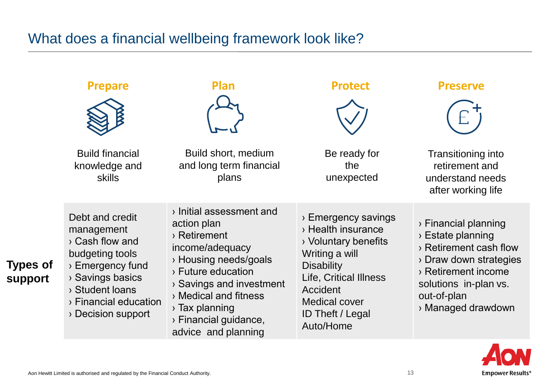### What does a financial wellbeing framework look like?

|                                   | <b>Prepare</b>                                                                                                                                                                            | Plan                                                                                                                                                                                                                                                         | <b>Protect</b>                                                                                                                                                                                                 | <b>Preserve</b>                                                                                                                                                                                |
|-----------------------------------|-------------------------------------------------------------------------------------------------------------------------------------------------------------------------------------------|--------------------------------------------------------------------------------------------------------------------------------------------------------------------------------------------------------------------------------------------------------------|----------------------------------------------------------------------------------------------------------------------------------------------------------------------------------------------------------------|------------------------------------------------------------------------------------------------------------------------------------------------------------------------------------------------|
|                                   |                                                                                                                                                                                           |                                                                                                                                                                                                                                                              |                                                                                                                                                                                                                |                                                                                                                                                                                                |
|                                   | <b>Build financial</b><br>knowledge and<br><b>skills</b>                                                                                                                                  | Build short, medium<br>and long term financial<br>plans                                                                                                                                                                                                      | Be ready for<br>the<br>unexpected                                                                                                                                                                              | Transitioning into<br>retirement and<br>understand needs<br>after working life                                                                                                                 |
| <b>Types of</b><br><b>support</b> | Debt and credit<br>management<br>> Cash flow and<br>budgeting tools<br>$\rightarrow$ Emergency fund<br>> Savings basics<br>> Student loans<br>> Financial education<br>> Decision support | > Initial assessment and<br>action plan<br>> Retirement<br>income/adequacy<br>> Housing needs/goals<br>> Future education<br>> Savings and investment<br>> Medical and fitness<br>$\rightarrow$ Tax planning<br>> Financial guidance,<br>advice and planning | > Emergency savings<br>> Health insurance<br>> Voluntary benefits<br>Writing a will<br><b>Disability</b><br>Life, Critical Illness<br>Accident<br><b>Medical cover</b><br><b>ID Theft / Legal</b><br>Auto/Home | > Financial planning<br>$\rightarrow$ Estate planning<br>> Retirement cash flow<br>> Draw down strategies<br>> Retirement income<br>solutions in-plan vs.<br>out-of-plan<br>> Managed drawdown |

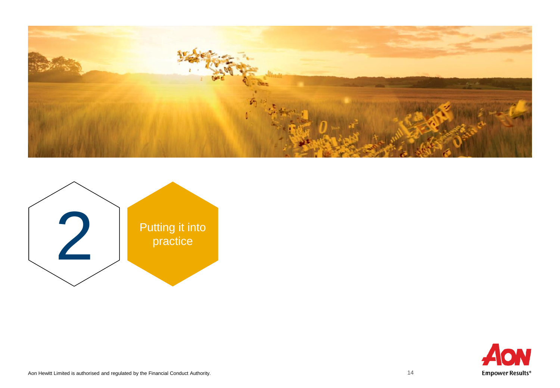



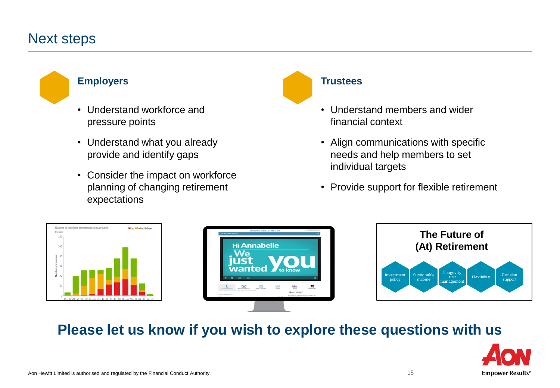### Next steps

#### **Employers**

- Understand workforce and pressure points
- Understand what you already provide and identify gaps
- Consider the impact on workforce planning of changing retirement expectations

#### **Trustees**

- Understand members and wider financial context
- Align communications with specific needs and help members to set individual targets
- Provide support for flexible retirement







# **Please let us know if you wish to explore these questions with us**

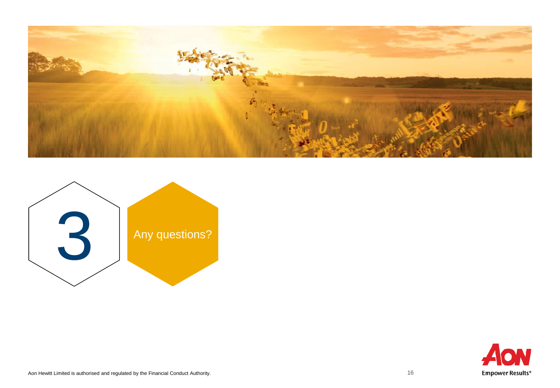



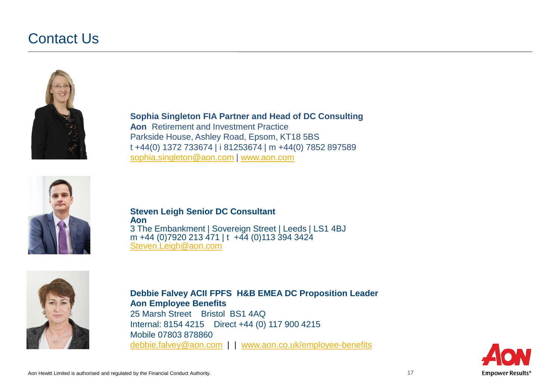### Contact Us



**Sophia Singleton FIA Partner and Head of DC Consulting Aon** Retirement and Investment Practice Parkside House, Ashley Road, Epsom, KT18 5BS t +44(0) 1372 733674 | i 81253674 | m +44(0) 7852 897589 [sophia.singleton@aon.com](mailto:sophia.singleton@aonhewitt.com) | [www.aon.com](http://www.aon.com/)



**Steven Leigh Senior DC Consultant Aon** 3 The Embankment | Sovereign Street | Leeds | LS1 4BJ m +44 (0)7920 213 471 | t +44 (0)113 394 3424 [Steven.Leigh@aon.com](mailto:Steven.Leigh@aon.com)



**Debbie Falvey ACII FPFS H&B EMEA DC Proposition Leader Aon Employee Benefits** 25 Marsh Street Bristol BS1 4AQ Internal: 8154 4215 Direct +44 (0) 117 900 4215 Mobile 07803 878860 [debbie.falvey@aon.com](mailto:debbie.falvey@aon.com) | | [www.aon.co.uk/employee-benefits](http://www.aon.co.uk/employee-benefits)